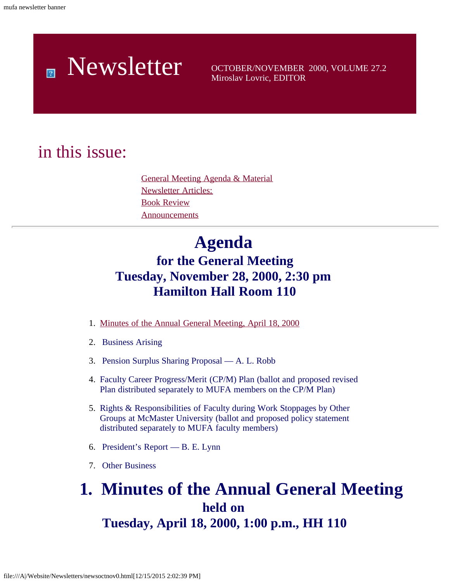# Newsletter OCTOBER/NOVEMBER 2000, VOLUME 27.2

Miroslav Lovric, EDITOR

### <span id="page-0-0"></span>in this issue:

[General Meeting Agenda & Material](#page-0-0) [Newsletter Articles:](#page-8-0) [Book Review](#page-8-1) **[Announcements](#page-9-0)** 

## **Agenda**

### **for the General Meeting Tuesday, November 28, 2000, 2:30 pm Hamilton Hall Room 110**

- 1. [Minutes of the Annual General Meeting, April 18, 2000](#page-0-1)
- 2. Business Arising
- 3. Pension Surplus Sharing Proposal A. L. Robb
- 4. Faculty Career Progress/Merit (CP/M) Plan (ballot and proposed revised Plan distributed separately to MUFA members on the CP/M Plan)
- 5. Rights & Responsibilities of Faculty during Work Stoppages by Other Groups at McMaster University (ballot and proposed policy statement distributed separately to MUFA faculty members)
- 6. President's Report B. E. Lynn
- 7. Other Business

### <span id="page-0-1"></span> **1. Minutes of the Annual General Meeting held on Tuesday, April 18, 2000, 1:00 p.m., HH 110**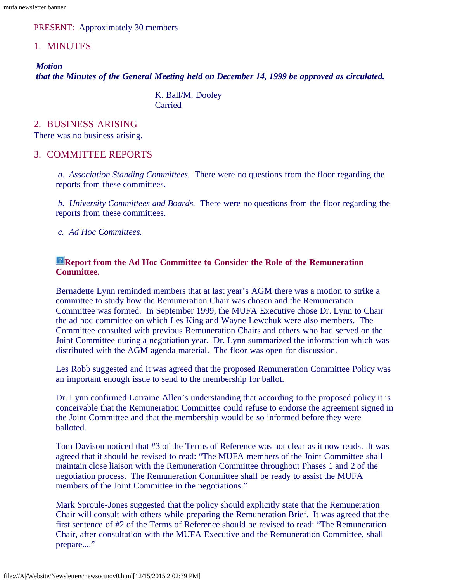PRESENT: Approximately 30 members

#### 1. MINUTES

*Motion that the Minutes of the General Meeting held on December 14, 1999 be approved as circulated.*

> K. Ball/M. Dooley Carried

#### 2. BUSINESS ARISING

There was no business arising.

#### 3. COMMITTEE REPORTS

*a. Association Standing Committees.* There were no questions from the floor regarding the reports from these committees.

*b. University Committees and Boards.* There were no questions from the floor regarding the reports from these committees.

*c. Ad Hoc Committees.*

#### **Report from the Ad Hoc Committee to Consider the Role of the Remuneration Committee.**

Bernadette Lynn reminded members that at last year's AGM there was a motion to strike a committee to study how the Remuneration Chair was chosen and the Remuneration Committee was formed. In September 1999, the MUFA Executive chose Dr. Lynn to Chair the ad hoc committee on which Les King and Wayne Lewchuk were also members. The Committee consulted with previous Remuneration Chairs and others who had served on the Joint Committee during a negotiation year. Dr. Lynn summarized the information which was distributed with the AGM agenda material. The floor was open for discussion.

Les Robb suggested and it was agreed that the proposed Remuneration Committee Policy was an important enough issue to send to the membership for ballot.

Dr. Lynn confirmed Lorraine Allen's understanding that according to the proposed policy it is conceivable that the Remuneration Committee could refuse to endorse the agreement signed in the Joint Committee and that the membership would be so informed before they were balloted.

Tom Davison noticed that #3 of the Terms of Reference was not clear as it now reads. It was agreed that it should be revised to read: "The MUFA members of the Joint Committee shall maintain close liaison with the Remuneration Committee throughout Phases 1 and 2 of the negotiation process. The Remuneration Committee shall be ready to assist the MUFA members of the Joint Committee in the negotiations."

Mark Sproule-Jones suggested that the policy should explicitly state that the Remuneration Chair will consult with others while preparing the Remuneration Brief. It was agreed that the first sentence of #2 of the Terms of Reference should be revised to read: "The Remuneration Chair, after consultation with the MUFA Executive and the Remuneration Committee, shall prepare...."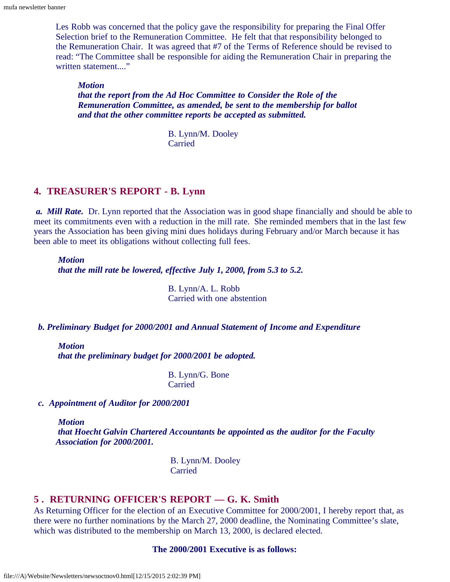Les Robb was concerned that the policy gave the responsibility for preparing the Final Offer Selection brief to the Remuneration Committee. He felt that that responsibility belonged to the Remuneration Chair. It was agreed that #7 of the Terms of Reference should be revised to read: "The Committee shall be responsible for aiding the Remuneration Chair in preparing the written statement...."

*Motion that the report from the Ad Hoc Committee to Consider the Role of the Remuneration Committee, as amended, be sent to the membership for ballot and that the other committee reports be accepted as submitted.*

> B. Lynn/M. Dooley Carried

#### **4. TREASURER'S REPORT - B. Lynn**

*a. Mill Rate.* Dr. Lynn reported that the Association was in good shape financially and should be able to meet its commitments even with a reduction in the mill rate. She reminded members that in the last few years the Association has been giving mini dues holidays during February and/or March because it has been able to meet its obligations without collecting full fees.

#### *Motion*

*that the mill rate be lowered, effective July 1, 2000, from 5.3 to 5.2.*

B. Lynn/A. L. Robb Carried with one abstention

#### *b. Preliminary Budget for 2000/2001 and Annual Statement of Income and Expenditure*

#### *Motion*

*that the preliminary budget for 2000/2001 be adopted.*

B. Lynn/G. Bone Carried

*c. Appointment of Auditor for 2000/2001*

*Motion*

*that Hoecht Galvin Chartered Accountants be appointed as the auditor for the Faculty Association for 2000/2001.*

> B. Lynn/M. Dooley **Carried**

#### **5 . RETURNING OFFICER'S REPORT — G. K. Smith**

As Returning Officer for the election of an Executive Committee for 2000/2001, I hereby report that, as there were no further nominations by the March 27, 2000 deadline, the Nominating Committee's slate, which was distributed to the membership on March 13, 2000, is declared elected.

#### **The 2000/2001 Executive is as follows:**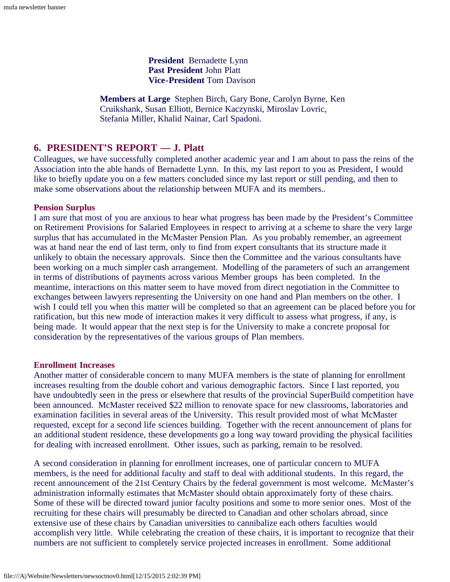**President** Bernadette Lynn  **Past President** John Platt **Vice-President** Tom Davison

**Members at Large** Stephen Birch, Gary Bone, Carolyn Byrne, Ken Cruikshank, Susan Elliott, Bernice Kaczynski, Miroslav Lovric, Stefania Miller, Khalid Nainar, Carl Spadoni.

#### **6. PRESIDENT'S REPORT — J. Platt**

Colleagues, we have successfully completed another academic year and I am about to pass the reins of the Association into the able hands of Bernadette Lynn. In this, my last report to you as President, I would like to briefly update you on a few matters concluded since my last report or still pending, and then to make some observations about the relationship between MUFA and its members..

#### **Pension Surplus**

I am sure that most of you are anxious to hear what progress has been made by the President's Committee on Retirement Provisions for Salaried Employees in respect to arriving at a scheme to share the very large surplus that has accumulated in the McMaster Pension Plan. As you probably remember, an agreement was at hand near the end of last term, only to find from expert consultants that its structure made it unlikely to obtain the necessary approvals. Since then the Committee and the various consultants have been working on a much simpler cash arrangement. Modelling of the parameters of such an arrangement in terms of distributions of payments across various Member groups has been completed. In the meantime, interactions on this matter seem to have moved from direct negotiation in the Committee to exchanges between lawyers representing the University on one hand and Plan members on the other. I wish I could tell you when this matter will be completed so that an agreement can be placed before you for ratification, but this new mode of interaction makes it very difficult to assess what progress, if any, is being made. It would appear that the next step is for the University to make a concrete proposal for consideration by the representatives of the various groups of Plan members.

#### **Enrollment Increases**

Another matter of considerable concern to many MUFA members is the state of planning for enrollment increases resulting from the double cohort and various demographic factors. Since I last reported, you have undoubtedly seen in the press or elsewhere that results of the provincial SuperBuild competition have been announced. McMaster received \$22 million to renovate space for new classrooms, laboratories and examination facilities in several areas of the University. This result provided most of what McMaster requested, except for a second life sciences building. Together with the recent announcement of plans for an additional student residence, these developments go a long way toward providing the physical facilities for dealing with increased enrollment. Other issues, such as parking, remain to be resolved.

A second consideration in planning for enrollment increases, one of particular concern to MUFA members, is the need for additional faculty and staff to deal with additional students. In this regard, the recent announcement of the 21st Century Chairs by the federal government is most welcome. McMaster's administration informally estimates that McMaster should obtain approximately forty of these chairs. Some of these will be directed toward junior faculty positions and some to more senior ones. Most of the recruiting for these chairs will presumably be directed to Canadian and other scholars abroad, since extensive use of these chairs by Canadian universities to cannibalize each others faculties would accomplish very little. While celebrating the creation of these chairs, it is important to recognize that their numbers are not sufficient to completely service projected increases in enrollment. Some additional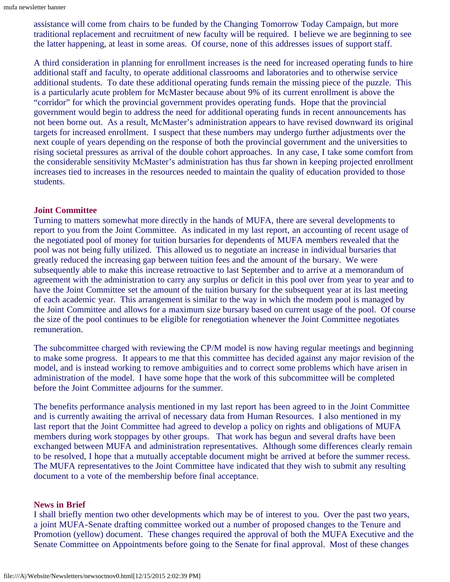assistance will come from chairs to be funded by the Changing Tomorrow Today Campaign, but more traditional replacement and recruitment of new faculty will be required. I believe we are beginning to see the latter happening, at least in some areas. Of course, none of this addresses issues of support staff.

A third consideration in planning for enrollment increases is the need for increased operating funds to hire additional staff and faculty, to operate additional classrooms and laboratories and to otherwise service additional students. To date these additional operating funds remain the missing piece of the puzzle. This is a particularly acute problem for McMaster because about 9% of its current enrollment is above the "corridor" for which the provincial government provides operating funds. Hope that the provincial government would begin to address the need for additional operating funds in recent announcements has not been borne out. As a result, McMaster's administration appears to have revised downward its original targets for increased enrollment. I suspect that these numbers may undergo further adjustments over the next couple of years depending on the response of both the provincial government and the universities to rising societal pressures as arrival of the double cohort approaches. In any case, I take some comfort from the considerable sensitivity McMaster's administration has thus far shown in keeping projected enrollment increases tied to increases in the resources needed to maintain the quality of education provided to those students.

#### **Joint Committee**

Turning to matters somewhat more directly in the hands of MUFA, there are several developments to report to you from the Joint Committee. As indicated in my last report, an accounting of recent usage of the negotiated pool of money for tuition bursaries for dependents of MUFA members revealed that the pool was not being fully utilized. This allowed us to negotiate an increase in individual bursaries that greatly reduced the increasing gap between tuition fees and the amount of the bursary. We were subsequently able to make this increase retroactive to last September and to arrive at a memorandum of agreement with the administration to carry any surplus or deficit in this pool over from year to year and to have the Joint Committee set the amount of the tuition bursary for the subsequent year at its last meeting of each academic year. This arrangement is similar to the way in which the modem pool is managed by the Joint Committee and allows for a maximum size bursary based on current usage of the pool. Of course the size of the pool continues to be eligible for renegotiation whenever the Joint Committee negotiates remuneration.

The subcommittee charged with reviewing the CP/M model is now having regular meetings and beginning to make some progress. It appears to me that this committee has decided against any major revision of the model, and is instead working to remove ambiguities and to correct some problems which have arisen in administration of the model. I have some hope that the work of this subcommittee will be completed before the Joint Committee adjourns for the summer.

The benefits performance analysis mentioned in my last report has been agreed to in the Joint Committee and is currently awaiting the arrival of necessary data from Human Resources. I also mentioned in my last report that the Joint Committee had agreed to develop a policy on rights and obligations of MUFA members during work stoppages by other groups. That work has begun and several drafts have been exchanged between MUFA and administration representatives. Although some differences clearly remain to be resolved, I hope that a mutually acceptable document might be arrived at before the summer recess. The MUFA representatives to the Joint Committee have indicated that they wish to submit any resulting document to a vote of the membership before final acceptance.

#### **News in Brief**

I shall briefly mention two other developments which may be of interest to you. Over the past two years, a joint MUFA-Senate drafting committee worked out a number of proposed changes to the Tenure and Promotion (yellow) document. These changes required the approval of both the MUFA Executive and the Senate Committee on Appointments before going to the Senate for final approval. Most of these changes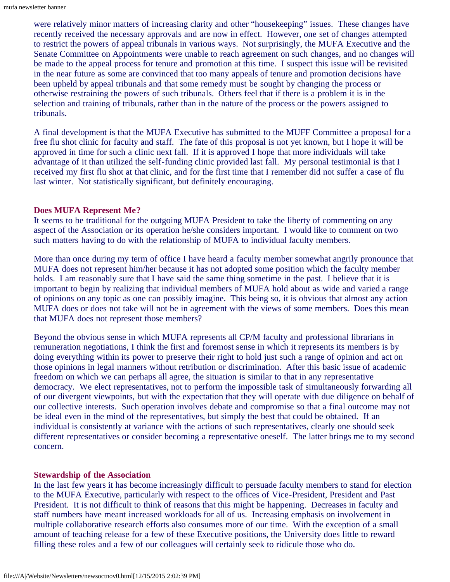were relatively minor matters of increasing clarity and other "housekeeping" issues. These changes have recently received the necessary approvals and are now in effect. However, one set of changes attempted to restrict the powers of appeal tribunals in various ways. Not surprisingly, the MUFA Executive and the Senate Committee on Appointments were unable to reach agreement on such changes, and no changes will be made to the appeal process for tenure and promotion at this time. I suspect this issue will be revisited in the near future as some are convinced that too many appeals of tenure and promotion decisions have been upheld by appeal tribunals and that some remedy must be sought by changing the process or otherwise restraining the powers of such tribunals. Others feel that if there is a problem it is in the selection and training of tribunals, rather than in the nature of the process or the powers assigned to tribunals.

A final development is that the MUFA Executive has submitted to the MUFF Committee a proposal for a free flu shot clinic for faculty and staff. The fate of this proposal is not yet known, but I hope it will be approved in time for such a clinic next fall. If it is approved I hope that more individuals will take advantage of it than utilized the self-funding clinic provided last fall. My personal testimonial is that I received my first flu shot at that clinic, and for the first time that I remember did not suffer a case of flu last winter. Not statistically significant, but definitely encouraging.

#### **Does MUFA Represent Me?**

It seems to be traditional for the outgoing MUFA President to take the liberty of commenting on any aspect of the Association or its operation he/she considers important. I would like to comment on two such matters having to do with the relationship of MUFA to individual faculty members.

More than once during my term of office I have heard a faculty member somewhat angrily pronounce that MUFA does not represent him/her because it has not adopted some position which the faculty member holds. I am reasonably sure that I have said the same thing sometime in the past. I believe that it is important to begin by realizing that individual members of MUFA hold about as wide and varied a range of opinions on any topic as one can possibly imagine. This being so, it is obvious that almost any action MUFA does or does not take will not be in agreement with the views of some members. Does this mean that MUFA does not represent those members?

Beyond the obvious sense in which MUFA represents all CP/M faculty and professional librarians in remuneration negotiations, I think the first and foremost sense in which it represents its members is by doing everything within its power to preserve their right to hold just such a range of opinion and act on those opinions in legal manners without retribution or discrimination. After this basic issue of academic freedom on which we can perhaps all agree, the situation is similar to that in any representative democracy. We elect representatives, not to perform the impossible task of simultaneously forwarding all of our divergent viewpoints, but with the expectation that they will operate with due diligence on behalf of our collective interests. Such operation involves debate and compromise so that a final outcome may not be ideal even in the mind of the representatives, but simply the best that could be obtained. If an individual is consistently at variance with the actions of such representatives, clearly one should seek different representatives or consider becoming a representative oneself. The latter brings me to my second concern.

#### **Stewardship of the Association**

In the last few years it has become increasingly difficult to persuade faculty members to stand for election to the MUFA Executive, particularly with respect to the offices of Vice-President, President and Past President. It is not difficult to think of reasons that this might be happening. Decreases in faculty and staff numbers have meant increased workloads for all of us. Increasing emphasis on involvement in multiple collaborative research efforts also consumes more of our time. With the exception of a small amount of teaching release for a few of these Executive positions, the University does little to reward filling these roles and a few of our colleagues will certainly seek to ridicule those who do.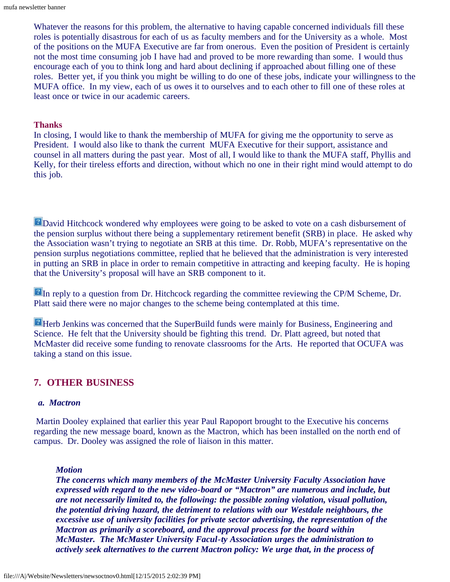Whatever the reasons for this problem, the alternative to having capable concerned individuals fill these roles is potentially disastrous for each of us as faculty members and for the University as a whole. Most of the positions on the MUFA Executive are far from onerous. Even the position of President is certainly not the most time consuming job I have had and proved to be more rewarding than some. I would thus encourage each of you to think long and hard about declining if approached about filling one of these roles. Better yet, if you think you might be willing to do one of these jobs, indicate your willingness to the MUFA office. In my view, each of us owes it to ourselves and to each other to fill one of these roles at least once or twice in our academic careers.

#### **Thanks**

In closing, I would like to thank the membership of MUFA for giving me the opportunity to serve as President. I would also like to thank the current MUFA Executive for their support, assistance and counsel in all matters during the past year. Most of all, I would like to thank the MUFA staff, Phyllis and Kelly, for their tireless efforts and direction, without which no one in their right mind would attempt to do this job.

**E** David Hitchcock wondered why employees were going to be asked to vote on a cash disbursement of the pension surplus without there being a supplementary retirement benefit (SRB) in place. He asked why the Association wasn't trying to negotiate an SRB at this time. Dr. Robb, MUFA's representative on the pension surplus negotiations committee, replied that he believed that the administration is very interested in putting an SRB in place in order to remain competitive in attracting and keeping faculty. He is hoping that the University's proposal will have an SRB component to it.

In reply to a question from Dr. Hitchcock regarding the committee reviewing the CP/M Scheme, Dr. Platt said there were no major changes to the scheme being contemplated at this time.

**Herb Jenkins was concerned that the SuperBuild funds were mainly for Business, Engineering and** Science. He felt that the University should be fighting this trend. Dr. Platt agreed, but noted that McMaster did receive some funding to renovate classrooms for the Arts. He reported that OCUFA was taking a stand on this issue.

#### **7. OTHER BUSINESS**

#### *a. Mactron*

Martin Dooley explained that earlier this year Paul Rapoport brought to the Executive his concerns regarding the new message board, known as the Mactron, which has been installed on the north end of campus. Dr. Dooley was assigned the role of liaison in this matter.

#### *Motion*

*The concerns which many members of the McMaster University Faculty Association have expressed with regard to the new video-board or "Mactron" are numerous and include, but are not necessarily limited to, the following: the possible zoning violation, visual pollution, the potential driving hazard, the detriment to relations with our Westdale neighbours, the excessive use of university facilities for private sector advertising, the representation of the Mactron as primarily a scoreboard, and the approval process for the board within McMaster. The McMaster University Facul-ty Association urges the administration to actively seek alternatives to the current Mactron policy: We urge that, in the process of*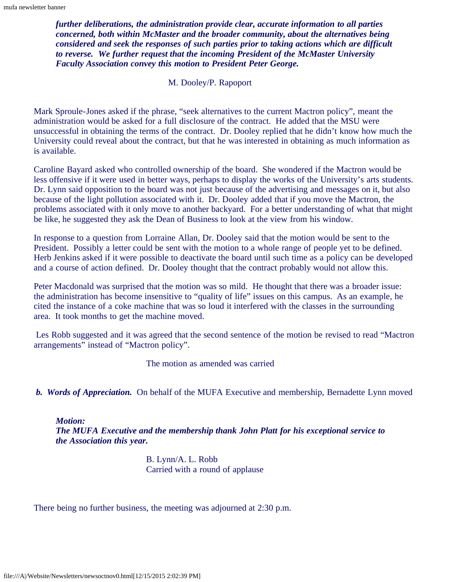*further deliberations, the administration provide clear, accurate information to all parties concerned, both within McMaster and the broader community, about the alternatives being considered and seek the responses of such parties prior to taking actions which are difficult to reverse. We further request that the incoming President of the McMaster University Faculty Association convey this motion to President Peter George.*

M. Dooley/P. Rapoport

Mark Sproule-Jones asked if the phrase, "seek alternatives to the current Mactron policy", meant the administration would be asked for a full disclosure of the contract. He added that the MSU were unsuccessful in obtaining the terms of the contract. Dr. Dooley replied that he didn't know how much the University could reveal about the contract, but that he was interested in obtaining as much information as is available.

Caroline Bayard asked who controlled ownership of the board. She wondered if the Mactron would be less offensive if it were used in better ways, perhaps to display the works of the University's arts students. Dr. Lynn said opposition to the board was not just because of the advertising and messages on it, but also because of the light pollution associated with it. Dr. Dooley added that if you move the Mactron, the problems associated with it only move to another backyard. For a better understanding of what that might be like, he suggested they ask the Dean of Business to look at the view from his window.

In response to a question from Lorraine Allan, Dr. Dooley said that the motion would be sent to the President. Possibly a letter could be sent with the motion to a whole range of people yet to be defined. Herb Jenkins asked if it were possible to deactivate the board until such time as a policy can be developed and a course of action defined. Dr. Dooley thought that the contract probably would not allow this.

Peter Macdonald was surprised that the motion was so mild. He thought that there was a broader issue: the administration has become insensitive to "quality of life" issues on this campus. As an example, he cited the instance of a coke machine that was so loud it interfered with the classes in the surrounding area. It took months to get the machine moved.

Les Robb suggested and it was agreed that the second sentence of the motion be revised to read "Mactron arrangements" instead of "Mactron policy".

The motion as amended was carried

*b. Words of Appreciation.* On behalf of the MUFA Executive and membership, Bernadette Lynn moved

*Motion: The MUFA Executive and the membership thank John Platt for his exceptional service to the Association this year.*

> B. Lynn/A. L. Robb Carried with a round of applause

There being no further business, the meeting was adjourned at 2:30 p.m.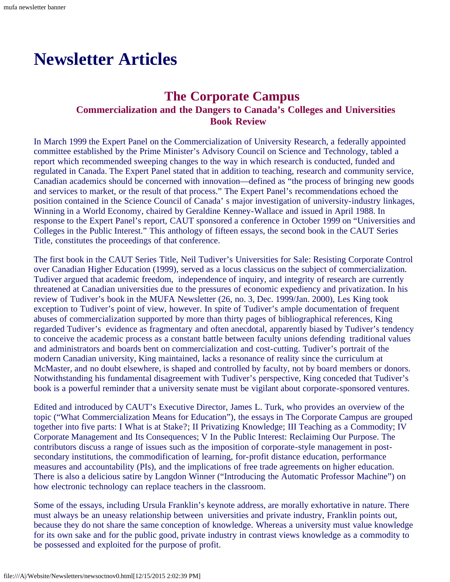# <span id="page-8-1"></span><span id="page-8-0"></span>**Newsletter Articles**

# **The Corporate Campus**<br>Commercialization and the Dangers to Canada's Colleges and Universities  **Book Review**

In March 1999 the Expert Panel on the Commercialization of University Research, a federally appointed committee established by the Prime Minister's Advisory Council on Science and Technology, tabled a report which recommended sweeping changes to the way in which research is conducted, funded and regulated in Canada. The Expert Panel stated that in addition to teaching, research and community service, Canadian academics should be concerned with innovation—defined as "the process of bringing new goods and services to market, or the result of that process." The Expert Panel's recommendations echoed the position contained in the Science Council of Canada' s major investigation of university-industry linkages, Winning in a World Economy, chaired by Geraldine Kenney-Wallace and issued in April 1988. In response to the Expert Panel's report, CAUT sponsored a conference in October 1999 on "Universities and Colleges in the Public Interest." This anthology of fifteen essays, the second book in the CAUT Series Title, constitutes the proceedings of that conference.

The first book in the CAUT Series Title, Neil Tudiver's Universities for Sale: Resisting Corporate Control over Canadian Higher Education (1999), served as a locus classicus on the subject of commercialization. Tudiver argued that academic freedom, independence of inquiry, and integrity of research are currently threatened at Canadian universities due to the pressures of economic expediency and privatization. In his review of Tudiver's book in the MUFA Newsletter (26, no. 3, Dec. 1999/Jan. 2000), Les King took exception to Tudiver's point of view, however. In spite of Tudiver's ample documentation of frequent abuses of commercialization supported by more than thirty pages of bibliographical references, King regarded Tudiver's evidence as fragmentary and often anecdotal, apparently biased by Tudiver's tendency to conceive the academic process as a constant battle between faculty unions defending traditional values and administrators and boards bent on commercialization and cost-cutting. Tudiver's portrait of the modern Canadian university, King maintained, lacks a resonance of reality since the curriculum at McMaster, and no doubt elsewhere, is shaped and controlled by faculty, not by board members or donors. Notwithstanding his fundamental disagreement with Tudiver's perspective, King conceded that Tudiver's book is a powerful reminder that a university senate must be vigilant about corporate-sponsored ventures.

Edited and introduced by CAUT's Executive Director, James L. Turk, who provides an overview of the topic ("What Commercialization Means for Education"), the essays in The Corporate Campus are grouped together into five parts: I What is at Stake?; II Privatizing Knowledge; III Teaching as a Commodity; IV Corporate Management and Its Consequences; V In the Public Interest: Reclaiming Our Purpose. The contributors discuss a range of issues such as the imposition of corporate-style management in postsecondary institutions, the commodification of learning, for-profit distance education, performance measures and accountability (PIs), and the implications of free trade agreements on higher education. There is also a delicious satire by Langdon Winner ("Introducing the Automatic Professor Machine") on how electronic technology can replace teachers in the classroom.

Some of the essays, including Ursula Franklin's keynote address, are morally exhortative in nature. There must always be an uneasy relationship between universities and private industry, Franklin points out, because they do not share the same conception of knowledge. Whereas a university must value knowledge for its own sake and for the public good, private industry in contrast views knowledge as a commodity to be possessed and exploited for the purpose of profit.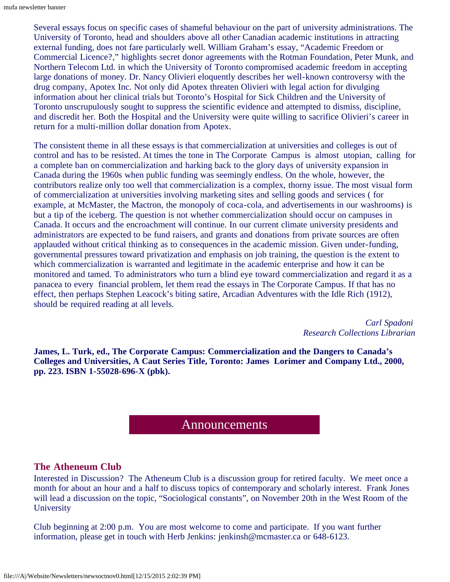Several essays focus on specific cases of shameful behaviour on the part of university administrations. The University of Toronto, head and shoulders above all other Canadian academic institutions in attracting external funding, does not fare particularly well. William Graham's essay, "Academic Freedom or Commercial Licence?," highlights secret donor agreements with the Rotman Foundation, Peter Munk, and Northern Telecom Ltd. in which the University of Toronto compromised academic freedom in accepting large donations of money. Dr. Nancy Olivieri eloquently describes her well-known controversy with the drug company, Apotex Inc. Not only did Apotex threaten Olivieri with legal action for divulging information about her clinical trials but Toronto's Hospital for Sick Children and the University of Toronto unscrupulously sought to suppress the scientific evidence and attempted to dismiss, discipline, and discredit her. Both the Hospital and the University were quite willing to sacrifice Olivieri's career in return for a multi-million dollar donation from Apotex.

The consistent theme in all these essays is that commercialization at universities and colleges is out of control and has to be resisted. At times the tone in The Corporate Campus is almost utopian, calling for a complete ban on commercialization and harking back to the glory days of university expansion in Canada during the 1960s when public funding was seemingly endless. On the whole, however, the contributors realize only too well that commercialization is a complex, thorny issue. The most visual form of commercialization at universities involving marketing sites and selling goods and services ( for example, at McMaster, the Mactron, the monopoly of coca-cola, and advertisements in our washrooms) is but a tip of the iceberg. The question is not whether commercialization should occur on campuses in Canada. It occurs and the encroachment will continue. In our current climate university presidents and administrators are expected to be fund raisers, and grants and donations from private sources are often applauded without critical thinking as to consequences in the academic mission. Given under-funding, governmental pressures toward privatization and emphasis on job training, the question is the extent to which commercialization is warranted and legitimate in the academic enterprise and how it can be monitored and tamed. To administrators who turn a blind eye toward commercialization and regard it as a panacea to every financial problem, let them read the essays in The Corporate Campus. If that has no effect, then perhaps Stephen Leacock's biting satire, Arcadian Adventures with the Idle Rich (1912), should be required reading at all levels.

> *Carl Spadoni Research Collections Librarian*

**James, L. Turk, ed., The Corporate Campus: Commercialization and the Dangers to Canada's Colleges and Universities, A Caut Series Title, Toronto: James Lorimer and Company Ltd., 2000, pp. 223. ISBN 1-55028-696-X (pbk).**

#### Announcements

#### <span id="page-9-0"></span>**The Atheneum Club**

Interested in Discussion? The Atheneum Club is a discussion group for retired faculty. We meet once a month for about an hour and a half to discuss topics of contemporary and scholarly interest. Frank Jones will lead a discussion on the topic, "Sociological constants", on November 20th in the West Room of the **University** 

Club beginning at 2:00 p.m. You are most welcome to come and participate. If you want further information, please get in touch with Herb Jenkins: jenkinsh@mcmaster.ca or 648-6123.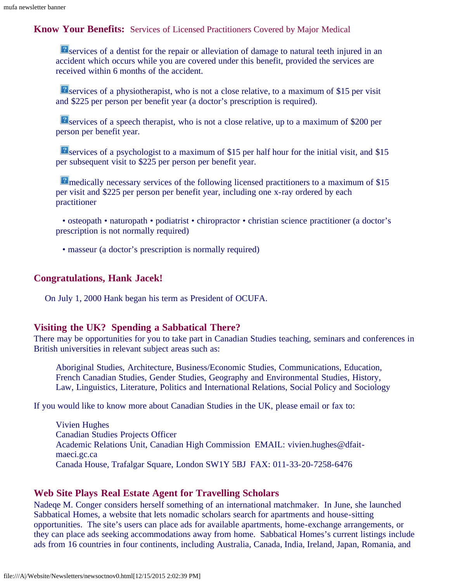**Know Your Benefits:** Services of Licensed Practitioners Covered by Major Medical

**E** services of a dentist for the repair or alleviation of damage to natural teeth injured in an accident which occurs while you are covered under this benefit, provided the services are received within 6 months of the accident.

**E** services of a physiotherapist, who is not a close relative, to a maximum of \$15 per visit and \$225 per person per benefit year (a doctor's prescription is required).

**E** services of a speech therapist, who is not a close relative, up to a maximum of \$200 per person per benefit year.

**P** services of a psychologist to a maximum of \$15 per half hour for the initial visit, and \$15 per subsequent visit to \$225 per person per benefit year.

**P** medically necessary services of the following licensed practitioners to a maximum of \$15 per visit and \$225 per person per benefit year, including one x-ray ordered by each practitioner

• osteopath • naturopath • podiatrist • chiropractor • christian science practitioner (a doctor's prescription is not normally required)

• masseur (a doctor's prescription is normally required)

#### **Congratulations, Hank Jacek!**

On July 1, 2000 Hank began his term as President of OCUFA.

#### **Visiting the UK? Spending a Sabbatical There?**

There may be opportunities for you to take part in Canadian Studies teaching, seminars and conferences in British universities in relevant subject areas such as:

Aboriginal Studies, Architecture, Business/Economic Studies, Communications, Education, French Canadian Studies, Gender Studies, Geography and Environmental Studies, History, Law, Linguistics, Literature, Politics and International Relations, Social Policy and Sociology

If you would like to know more about Canadian Studies in the UK, please email or fax to:

Vivien Hughes Canadian Studies Projects Officer Academic Relations Unit, Canadian High Commission EMAIL: vivien.hughes@dfaitmaeci.gc.ca Canada House, Trafalgar Square, London SW1Y 5BJ FAX: 011-33-20-7258-6476

#### **Web Site Plays Real Estate Agent for Travelling Scholars**

Nadeqe M. Conger considers herself something of an international matchmaker. In June, she launched Sabbatical Homes, a website that lets nomadic scholars search for apartments and house-sitting opportunities. The site's users can place ads for available apartments, home-exchange arrangements, or they can place ads seeking accommodations away from home. Sabbatical Homes's current listings include ads from 16 countries in four continents, including Australia, Canada, India, Ireland, Japan, Romania, and